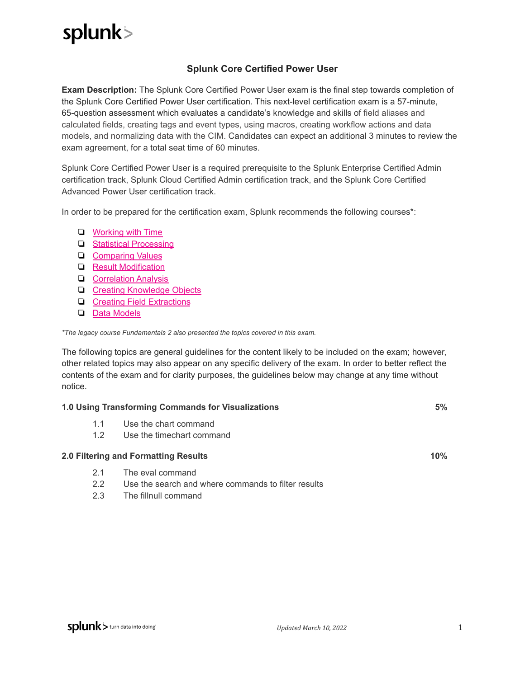## splunk>

## **Splunk Core Certified Power User**

**Exam Description:** The Splunk Core Certified Power User exam is the final step towards completion of the Splunk Core Certified Power User certification. This next-level certification exam is a 57-minute, 65-question assessment which evaluates a candidate's knowledge and skills of field aliases and calculated fields, creating tags and event types, using macros, creating workflow actions and data models, and normalizing data with the CIM. Candidates can expect an additional 3 minutes to review the exam agreement, for a total seat time of 60 minutes.

Splunk Core Certified Power User is a required prerequisite to the Splunk Enterprise Certified Admin certification track, Splunk Cloud Certified Admin certification track, and the Splunk Core Certified Advanced Power User certification track.

In order to be prepared for the certification exam, Splunk recommends the following courses\*:

- ❏ [Working](https://www.splunk.com/en_us/training/courses/working-with-time.html) with Time
- ❏ Statistical [Processing](https://www.splunk.com/en_us/training/courses/statistical-processing.html)
- ❏ [Comparing](https://www.splunk.com/en_us/training/courses/comparing-values.html) Values
- ❏ Result [Modification](https://www.splunk.com/en_us/training/courses/result-modification.html)
- ❏ [Correlation](https://www.splunk.com/en_us/training/courses/correlation-analysis.html) Analysis
- ❏ Creating [Knowledge](https://www.splunk.com/en_us/training/courses/creating-knowledge-objects.html) Objects
- ❏ Creating Field [Extractions](https://www.splunk.com/en_us/training/courses/creating-field-extractions.html)
- ❏ Data [Models](https://www.splunk.com/en_us/training/courses/data-models.html)

*\*The legacy course Fundamentals 2 also presented the topics covered in this exam.*

The following topics are general guidelines for the content likely to be included on the exam; however, other related topics may also appear on any specific delivery of the exam. In order to better reflect the contents of the exam and for clarity purposes, the guidelines below may change at any time without notice.

| 1.0 Using Transforming Commands for Visualizations |               |                                                     |     |
|----------------------------------------------------|---------------|-----------------------------------------------------|-----|
|                                                    | 1.1           | Use the chart command                               |     |
|                                                    | 1.2           | Use the timechart command                           |     |
|                                                    |               | 2.0 Filtering and Formatting Results                | 10% |
|                                                    | 2.1           | The eval command                                    |     |
|                                                    | $2.2^{\circ}$ | Use the search and where commands to filter results |     |
|                                                    | 2.3           | The fillnull command                                |     |
|                                                    |               |                                                     |     |
|                                                    |               |                                                     |     |
|                                                    |               |                                                     |     |
|                                                    |               |                                                     |     |